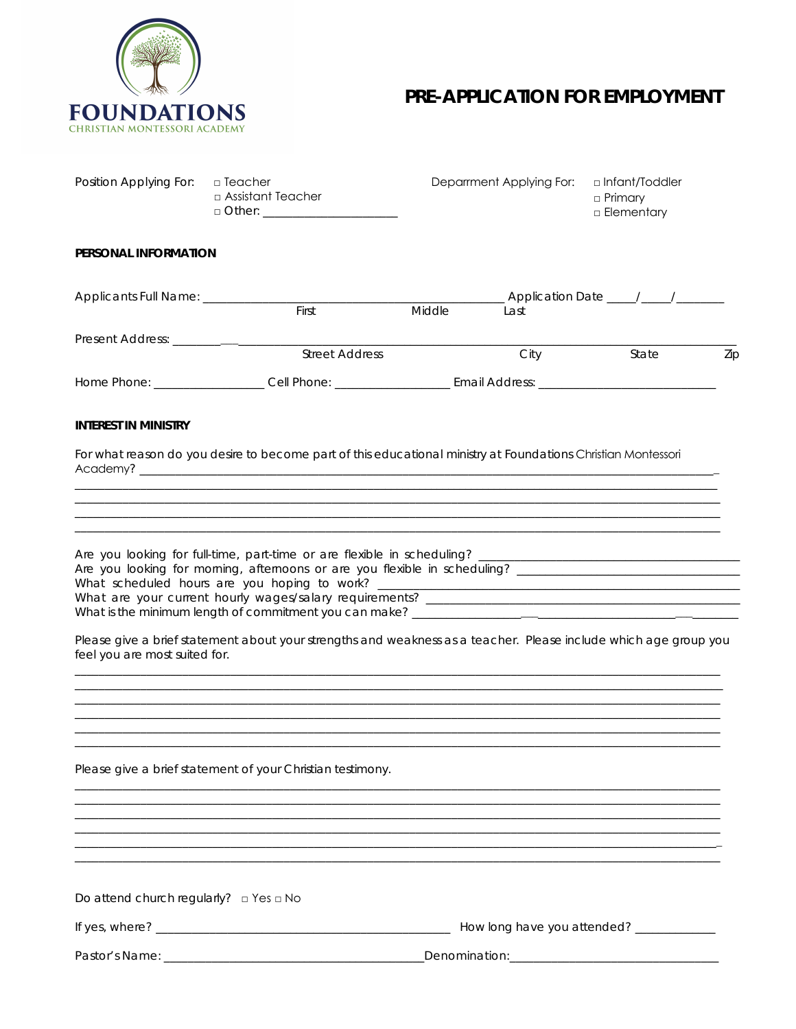

# PRE-APPLICATION FOR EMPLOYMENT

| Position Applying For: <b>Deacher</b> |                                      | Deparrment Applying For: | □ Infant/Toddler               |
|---------------------------------------|--------------------------------------|--------------------------|--------------------------------|
|                                       | $\Box$ Assistant Teacher<br>□ Other: |                          | □ Primary<br>$\Box$ Elementary |
|                                       |                                      |                          |                                |

# PERSONAL INFORMATION

| Applicants Full Name: _ |                |        |                |       |     |
|-------------------------|----------------|--------|----------------|-------|-----|
|                         | First          | Middle | Last           |       |     |
| Present Address:        |                |        |                |       |     |
|                         | Street Address |        | City           | State | Zip |
| Home Phone:             | Cell Phone:    |        | Email Address: |       |     |

## **INTEREST IN MINISTRY**

For what reason do you desire to become part of this educational ministry at Foundations Christian Montessori 

| Are you looking for full-time, part-time or are flexible in scheduling?    |
|----------------------------------------------------------------------------|
| Are you looking for morning, afternoons or are you flexible in scheduling? |
| What scheduled hours are you hoping to work? ___                           |
| What are your current hourly wages/salary requirements?                    |
| What is the minimum length of commitment you can make?                     |

Please give a brief statement about your strengths and weakness as a teacher. Please include which age group you feel you are most suited for.

Please give a brief statement of your Christian testimony.

Do attend church regularly?  $\Box$  Yes  $\Box$  No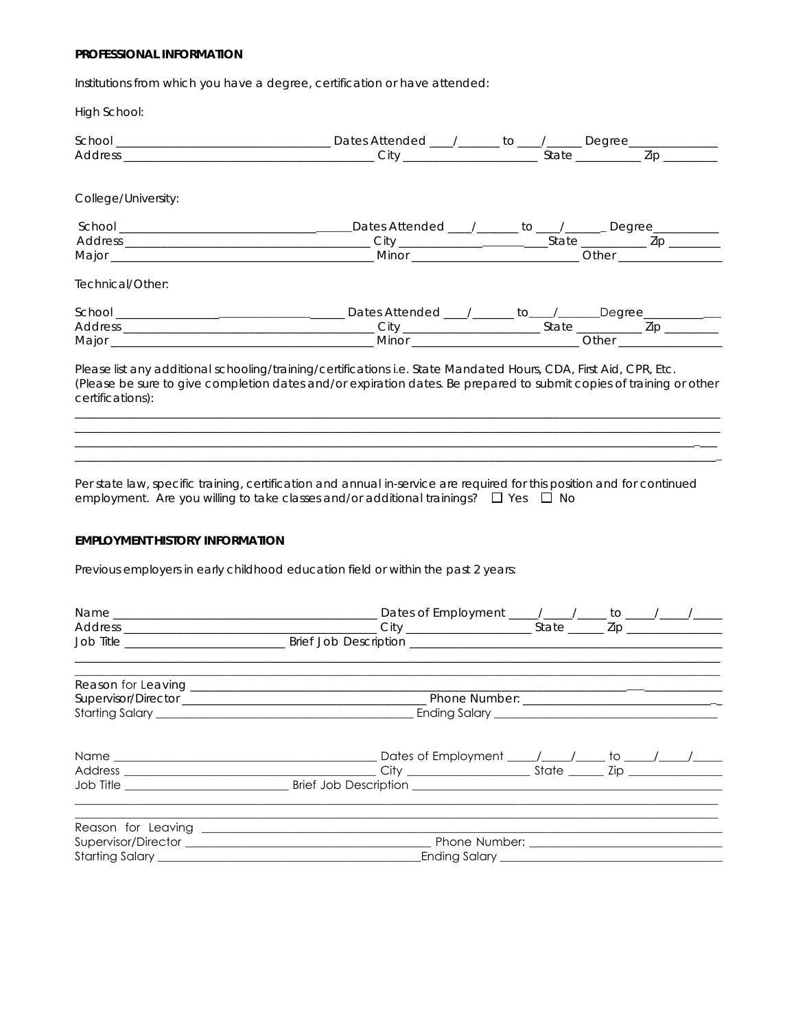### PROFESSIONAL INFORMATION

Institutions from which you have a degree, certification or have attended:

High School:

| College/University:                                                                                                                                                                                                                                          |  |  |                                                          |
|--------------------------------------------------------------------------------------------------------------------------------------------------------------------------------------------------------------------------------------------------------------|--|--|----------------------------------------------------------|
|                                                                                                                                                                                                                                                              |  |  | Dates Attended ___/______ to ___/______ Degree__________ |
|                                                                                                                                                                                                                                                              |  |  |                                                          |
|                                                                                                                                                                                                                                                              |  |  |                                                          |
| Technical/Other:                                                                                                                                                                                                                                             |  |  |                                                          |
|                                                                                                                                                                                                                                                              |  |  |                                                          |
|                                                                                                                                                                                                                                                              |  |  |                                                          |
|                                                                                                                                                                                                                                                              |  |  |                                                          |
| Please list any additional schooling/training/certifications i.e. State Mandated Hours, CDA, First Aid, CPR, Etc.<br>(Please be sure to give completion dates and/or expiration dates. Be prepared to submit copies of training or other<br>certifications): |  |  |                                                          |
|                                                                                                                                                                                                                                                              |  |  |                                                          |

Per state law, specific training, certification and annual in-service are required for this position and for continued employment. Are you willing to take classes and/or additional trainings?  $\Box$  Yes  $\Box$  No

# EMPLOYMENT HISTORY INFORMATION

Previous employers in early childhood education field or within the past 2 years:

| Job Title <b>Example 20</b> Brief Job Description <b>COVID-100</b> Brief Job Description <b>COVID-100</b> |  |  |
|-----------------------------------------------------------------------------------------------------------|--|--|
|                                                                                                           |  |  |